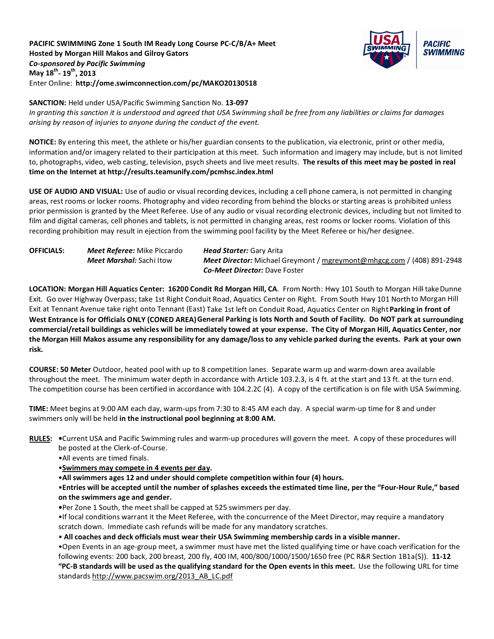# **PACIFIC SWIMMING Zone 1 South IM Ready Long Course PC-C/B/A+ Meet Hosted by Morgan Hill Makos and Gilroy Gators** *Co-sponsored by Pacific Swimming* **May 18th- 19th, 2013** Enter Online: **http://ome.swimconnection.com/pc/MAKO20130518**



**SANCTION:** Held under USA/Pacific Swimming Sanction No. **13-097**

*In granting this sanction it is understood and agreed that USA Swimming shall be free from any liabilities or claims for damages arising by reason of injuries to anyone during the conduct of the event.*

**NOTICE:** By entering this meet, the athlete or his/her guardian consents to the publication, via electronic, print or other media, information and/or imagery related to their participation at this meet. Such information and imagery may include, but is not limited to, photographs, video, web casting, television, psych sheets and live meet results. **The results of this meet may be posted in real time on the Internet at http://results.teamunify.com/pcmhsc.index.html**

**USE OF AUDIO AND VISUAL:** Use of audio or visual recording devices, including a cell phone camera, is not permitted in changing areas, rest rooms or locker rooms. Photography and video recording from behind the blocks or starting areas is prohibited unless prior permission is granted by the Meet Referee. Use of any audio or visual recording electronic devices, including but not limited to film and digital cameras, cell phones and tablets, is not permitted in changing areas, rest rooms or locker rooms. Violation of this recording prohibition may result in ejection from the swimming pool facility by the Meet Referee or his/her designee.

| <b>OFFICIALS:</b> | <b>Meet Referee:</b> Mike Piccardo | <b>Head Starter: Gary Arita</b>                                               |  |  |  |  |  |  |
|-------------------|------------------------------------|-------------------------------------------------------------------------------|--|--|--|--|--|--|
|                   | <b>Meet Marshal:</b> Sachi Itow    | <b>Meet Director:</b> Michael Greymont / mgreymont@mhgcg.com / (408) 891-2948 |  |  |  |  |  |  |
|                   |                                    | <b>Co-Meet Director:</b> Dave Foster                                          |  |  |  |  |  |  |

LOCATION: Morgan Hill Aquatics Center: 16200 Condit Rd Morgan Hill, CA. From North: Hwy 101 South to Morgan Hill takeDunne Exit. Go over Highway Overpass; take 1st Right Conduit Road, Aquatics Center on Right. From South Hwy 101 Northto Morgan Hill Exit at Tennant Avenue take right onto Tennant (East) Take 1st left on Conduit Road, Aquatics Center on Right**Parking in front of West Entrance is for Officials ONLY (CONED AREA)General Parking is lots North and South of Facility. Do NOT park at surrounding commercial/retail buildings as vehicles will be immediately towed at your expense. The City of Morgan Hill, Aquatics Center, nor the Morgan Hill Makos assume any responsibility for any damage/loss to any vehicle parked during the events. Park at your own risk.**

**COURSE: 50 Meter** Outdoor, heated pool with up to 8 competition lanes. Separate warm up and warm-down area available throughout the meet. The minimum water depth in accordance with Article 103.2.3, is 4 ft. at the start and 13 ft. at the turn end. The competition course has been certified in accordance with 104.2.2C (4). A copy of the certification is on file with USA Swimming.

**TIME:** Meet begins at 9:00 AM each day, warm-ups from 7:30 to 8:45 AM each day. A special warm-up time for 8 and under swimmers only will be held **in the instructional pool beginning at 8:00 AM.**

**RULES: •**Current USA and Pacific Swimming rules and warm-up procedures will govern the meet. A copy of these procedures will be posted at the Clerk-of-Course.

•All events are timed finals.

•**Swimmers may compete in 4 events per day.**

•**All swimmers ages 12 and under should complete competition within four (4) hours.**

•**Entries will be accepted until the number of splashes exceeds the estimated time line, per the "Four-Hour Rule," based on the swimmers age and gender.** 

**•**Per Zone 1 South, the meet shall be capped at 525 swimmers per day.

•If local conditions warrant it the Meet Referee, with the concurrence of the Meet Director, may require a mandatory scratch down. Immediate cash refunds will be made for any mandatory scratches.

• **All coaches and deck officials must wear their USA Swimming membership cards in a visible manner.** 

•Open Events in an age-group meet, a swimmer must have met the listed qualifying time or have coach verification for the following events: 200 back, 200 breast, 200 fly, 400 IM, 400/800/1000/1500/1650 free (PC R&R Section 1B1a(5)). **11-12 "PC-B standards will be used as the qualifying standard for the Open events in this meet.** Use the following URL for time

standard[s http://www.pacswim.org/2013\\_AB\\_LC.pdf](http://www.pacswim.org/2013_AB_LC.pdf)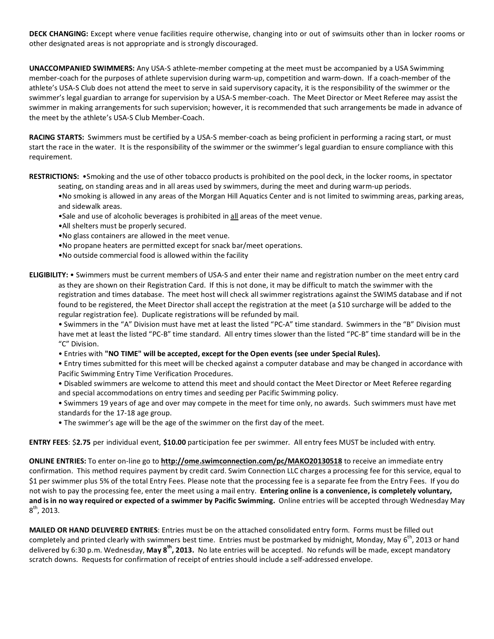**DECK CHANGING:** Except where venue facilities require otherwise, changing into or out of swimsuits other than in locker rooms or other designated areas is not appropriate and is strongly discouraged.

**UNACCOMPANIED SWIMMERS:** Any USA-S athlete-member competing at the meet must be accompanied by a USA Swimming member-coach for the purposes of athlete supervision during warm-up, competition and warm-down. If a coach-member of the athlete's USA-S Club does not attend the meet to serve in said supervisory capacity, it is the responsibility of the swimmer or the swimmer's legal guardian to arrange for supervision by a USA-S member-coach. The Meet Director or Meet Referee may assist the swimmer in making arrangements for such supervision; however, it is recommended that such arrangements be made in advance of the meet by the athlete's USA-S Club Member-Coach.

**RACING STARTS:** Swimmers must be certified by a USA-S member-coach as being proficient in performing a racing start, or must start the race in the water. It is the responsibility of the swimmer or the swimmer's legal guardian to ensure compliance with this requirement.

**RESTRICTIONS:** •Smoking and the use of other tobacco products is prohibited on the pool deck, in the locker rooms, in spectator

seating, on standing areas and in all areas used by swimmers, during the meet and during warm-up periods.

•No smoking is allowed in any areas of the Morgan Hill Aquatics Center and is not limited to swimming areas, parking areas, and sidewalk areas.

- •Sale and use of alcoholic beverages is prohibited in all areas of the meet venue.
- •All shelters must be properly secured.
- •No glass containers are allowed in the meet venue.
- •No propane heaters are permitted except for snack bar/meet operations.
- •No outside commercial food is allowed within the facility

**ELIGIBILITY:** • Swimmers must be current members of USA-S and enter their name and registration number on the meet entry card as they are shown on their Registration Card. If this is not done, it may be difficult to match the swimmer with the registration and times database. The meet host will check all swimmer registrations against the SWIMS database and if not found to be registered, the Meet Director shall accept the registration at the meet (a \$10 surcharge will be added to the regular registration fee). Duplicate registrations will be refunded by mail.

• Swimmers in the "A" Division must have met at least the listed "PC-A" time standard. Swimmers in the "B" Division must have met at least the listed "PC-B" time standard. All entry times slower than the listed "PC-B" time standard will be in the "C" Division.

• Entries with **"NO TIME" will be accepted, except for the Open events (see under Special Rules).**

• Entry times submitted for this meet will be checked against a computer database and may be changed in accordance with Pacific Swimming Entry Time Verification Procedures.

• Disabled swimmers are welcome to attend this meet and should contact the Meet Director or Meet Referee regarding and special accommodations on entry times and seeding per Pacific Swimming policy.

• Swimmers 19 years of age and over may compete in the meet for time only, no awards. Such swimmers must have met standards for the 17-18 age group.

• The swimmer's age will be the age of the swimmer on the first day of the meet.

**ENTRY FEES**: \$**2.75** per individual event, **\$10.00** participation fee per swimmer. All entry fees MUST be included with entry.

**ONLINE ENTRIES:** To enter on-line go to **<http://ome.swimconnection.com/pc/MAKO20130518>** to receive an immediate entry confirmation. This method requires payment by credit card. Swim Connection LLC charges a processing fee for this service, equal to \$1 per swimmer plus 5% of the total Entry Fees. Please note that the processing fee is a separate fee from the Entry Fees. If you do not wish to pay the processing fee, enter the meet using a mail entry. **Entering online is a convenience, is completely voluntary, and is in no way required or expected of a swimmer by Pacific Swimming.** Online entries will be accepted through Wednesday May  $8^{\text{th}}$ , 2013.

**MAILED OR HAND DELIVERED ENTRIES**: Entries must be on the attached consolidated entry form. Forms must be filled out completely and printed clearly with swimmers best time. Entries must be postmarked by midnight, Monday, May 6<sup>th</sup>, 2013 or hand delivered by 6:30 p.m. Wednesday, **May 8th, 2013.** No late entries will be accepted. No refunds will be made, except mandatory scratch downs. Requests for confirmation of receipt of entries should include a self-addressed envelope.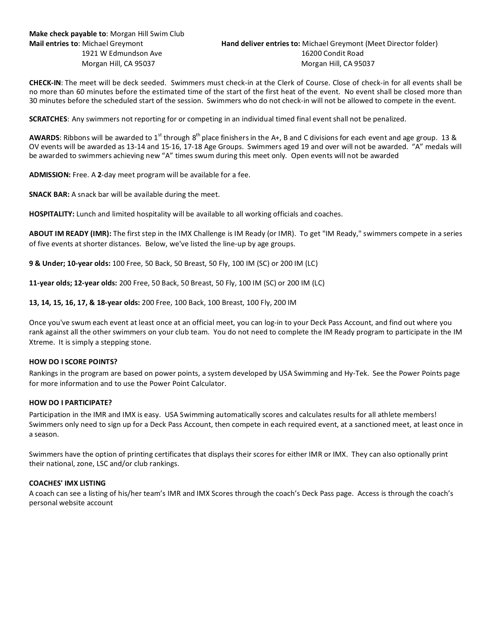**CHECK-IN**: The meet will be deck seeded. Swimmers must check-in at the Clerk of Course. Close of check-in for all events shall be no more than 60 minutes before the estimated time of the start of the first heat of the event. No event shall be closed more than 30 minutes before the scheduled start of the session. Swimmers who do not check-in will not be allowed to compete in the event.

**SCRATCHES**: Any swimmers not reporting for or competing in an individual timed final event shall not be penalized.

**AWARDS**: Ribbons will be awarded to 1<sup>st</sup> through 8<sup>th</sup> place finishers in the A+, B and C divisions for each event and age group. 13 & OV events will be awarded as 13-14 and 15-16, 17-18 Age Groups. Swimmers aged 19 and over will not be awarded. "A" medals will be awarded to swimmers achieving new "A" times swum during this meet only. Open events will not be awarded

**ADMISSION:** Free. A **2**-day meet program will be available for a fee.

**SNACK BAR:** A snack bar will be available during the meet.

**HOSPITALITY:** Lunch and limited hospitality will be available to all working officials and coaches.

**ABOUT IM READY (IMR):** The first step in the IMX Challenge is IM Ready (or IMR). To get "IM Ready," swimmers compete in a series of five events at shorter distances. Below, we've listed the line-up by age groups.

**9 & Under; 10-year olds:** 100 Free, 50 Back, 50 Breast, 50 Fly, 100 IM (SC) or 200 IM (LC)

**11-year olds; 12-year olds:** 200 Free, 50 Back, 50 Breast, 50 Fly, 100 IM (SC) or 200 IM (LC)

**13, 14, 15, 16, 17, & 18-year olds:** 200 Free, 100 Back, 100 Breast, 100 Fly, 200 IM

Once you've swum each event at least once at an official meet, you can log-in to your Deck Pass Account, and find out where you rank against all the other swimmers on your club team. You do not need to complete the IM Ready program to participate in the IM Xtreme. It is simply a stepping stone.

# **HOW DO I SCORE POINTS?**

Rankings in the program are based on power points, a system developed by USA Swimming and Hy-Tek. See the Power Points page for more information and to use the Power Point Calculator.

#### **HOW DO I PARTICIPATE?**

Participation in the IMR and IMX is easy. USA Swimming automatically scores and calculates results for all athlete members! Swimmers only need to sign up for a Deck Pass Account, then compete in each required event, at a sanctioned meet, at least once in a season.

Swimmers have the option of printing certificates that displays their scores for either IMR or IMX. They can also optionally print their national, zone, LSC and/or club rankings.

#### **COACHES' IMX LISTING**

A coach can see a listing of his/her team's IMR and IMX Scores through the coach's Deck Pass page. Access is through the coach's personal website account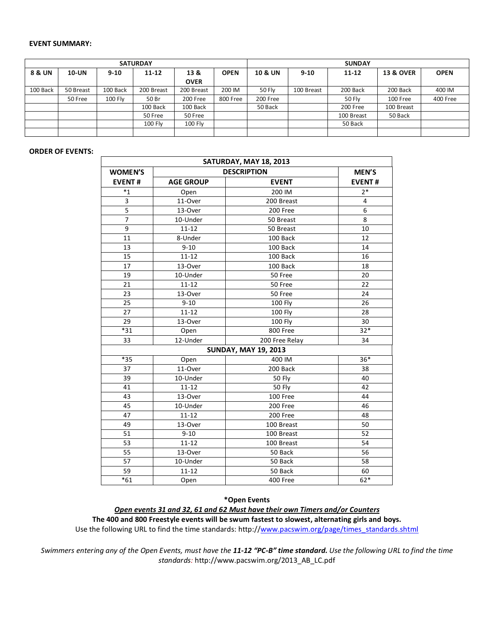### **EVENT SUMMARY:**

| <b>SATURDAY</b> |              |          |                |                |             |                    | <b>SUNDAY</b> |               |                      |             |  |  |  |
|-----------------|--------------|----------|----------------|----------------|-------------|--------------------|---------------|---------------|----------------------|-------------|--|--|--|
| 8 & UN          | <b>10-UN</b> | $9 - 10$ | $11 - 12$      | 13 &           | <b>OPEN</b> | <b>10 &amp; UN</b> | $9 - 10$      | $11 - 12$     | <b>13 &amp; OVER</b> | <b>OPEN</b> |  |  |  |
|                 |              |          |                | <b>OVER</b>    |             |                    |               |               |                      |             |  |  |  |
| 100 Back        | 50 Breast    | 100 Back | 200 Breast     | 200 Breast     | 200 IM      | <b>50 Flv</b>      | 100 Breast    | 200 Back      | 200 Back             | 400 IM      |  |  |  |
|                 | 50 Free      | 100 Fly  | 50 Br          | 200 Free       | 800 Free    | 200 Free           |               | <b>50 Flv</b> | 100 Free             | 400 Free    |  |  |  |
|                 |              |          | 100 Back       | 100 Back       |             | 50 Back            |               | 200 Free      | 100 Breast           |             |  |  |  |
|                 |              |          | 50 Free        | 50 Free        |             |                    |               | 100 Breast    | 50 Back              |             |  |  |  |
|                 |              |          | <b>100 Fly</b> | <b>100 Fly</b> |             |                    |               | 50 Back       |                      |             |  |  |  |
|                 |              |          |                |                |             |                    |               |               |                      |             |  |  |  |

#### **ORDER OF EVENTS:**

| SATURDAY, MAY 18, 2013 |                    |                             |               |  |  |  |  |  |  |  |
|------------------------|--------------------|-----------------------------|---------------|--|--|--|--|--|--|--|
| <b>WOMEN'S</b>         | <b>DESCRIPTION</b> | MEN'S                       |               |  |  |  |  |  |  |  |
| <b>EVENT#</b>          | <b>AGE GROUP</b>   | <b>EVENT</b>                | <b>EVENT#</b> |  |  |  |  |  |  |  |
| $*_{1}$                | Open               | 200 IM                      | $2*$          |  |  |  |  |  |  |  |
| 3                      | 11-Over            | 200 Breast                  | 4             |  |  |  |  |  |  |  |
| 5                      | 13-Over            | 200 Free                    | 6             |  |  |  |  |  |  |  |
| $\overline{7}$         | 10-Under           | 50 Breast                   | 8             |  |  |  |  |  |  |  |
| 9                      | $11 - 12$          | 50 Breast                   | 10            |  |  |  |  |  |  |  |
| 11                     | 8-Under            | 100 Back                    | 12            |  |  |  |  |  |  |  |
| 13                     | $9 - 10$           | 100 Back                    | 14            |  |  |  |  |  |  |  |
| 15                     | $11 - 12$          | 100 Back                    | 16            |  |  |  |  |  |  |  |
| 17                     | 13-Over            | 100 Back                    | 18            |  |  |  |  |  |  |  |
| 19                     | 10-Under           | 50 Free                     | 20            |  |  |  |  |  |  |  |
| 21                     | $11 - 12$          | 50 Free                     | 22            |  |  |  |  |  |  |  |
| 23                     | 13-Over            | 50 Free                     | 24            |  |  |  |  |  |  |  |
| 25                     | $9 - 10$           | <b>100 Fly</b>              | 26            |  |  |  |  |  |  |  |
| 27                     | $11 - 12$          | <b>100 Fly</b>              | 28            |  |  |  |  |  |  |  |
| 29                     | 13-Over            | 100 Fly                     | 30            |  |  |  |  |  |  |  |
| $*31$                  | Open               | 800 Free                    | $32*$         |  |  |  |  |  |  |  |
| 33                     | 12-Under           | 200 Free Relay              | 34            |  |  |  |  |  |  |  |
|                        |                    | <b>SUNDAY, MAY 19, 2013</b> |               |  |  |  |  |  |  |  |
| $*35$                  | Open               | 400 IM                      | 36*           |  |  |  |  |  |  |  |
| 37                     | 11-Over            | 200 Back                    | 38            |  |  |  |  |  |  |  |
| 39                     | 10-Under           | <b>50 Fly</b>               | 40            |  |  |  |  |  |  |  |
| 41                     | $11 - 12$          | <b>50 Fly</b>               | 42            |  |  |  |  |  |  |  |
| 43                     | 13-Over            | 100 Free                    | 44            |  |  |  |  |  |  |  |
| 45                     | 10-Under           | 200 Free                    | 46            |  |  |  |  |  |  |  |
| 47                     | $11 - 12$          | 200 Free                    | 48            |  |  |  |  |  |  |  |
| 49                     | 13-Over            | 100 Breast                  | 50            |  |  |  |  |  |  |  |
| 51                     | $9 - 10$           | 100 Breast                  | 52            |  |  |  |  |  |  |  |
| 53                     | $11 - 12$          | 100 Breast                  | 54            |  |  |  |  |  |  |  |
| 55                     | 13-Over            | 50 Back                     | 56            |  |  |  |  |  |  |  |
| 57                     | 10-Under           | 50 Back                     | 58            |  |  |  |  |  |  |  |
| 59                     | $11 - 12$          | 50 Back                     | 60            |  |  |  |  |  |  |  |
| $*61$                  | Open               | <b>400 Free</b>             | $62*$         |  |  |  |  |  |  |  |

# **\*Open Events**

*Open events 31 and 32, 61 and 62 Must have their own Timers and/or Counters*

**The 400 and 800 Freestyle events will be swum fastest to slowest, alternating girls and boys.**  Use the following URL to find the time standards: http://www.pacswim.org/page/times\_standards.shtml

*Swimmers entering any of the Open Events, must have the 11-12 "PC-B" time standard. Use the following URL to find the time standards:* http://www.pacswim.org/2013\_AB\_LC.pdf